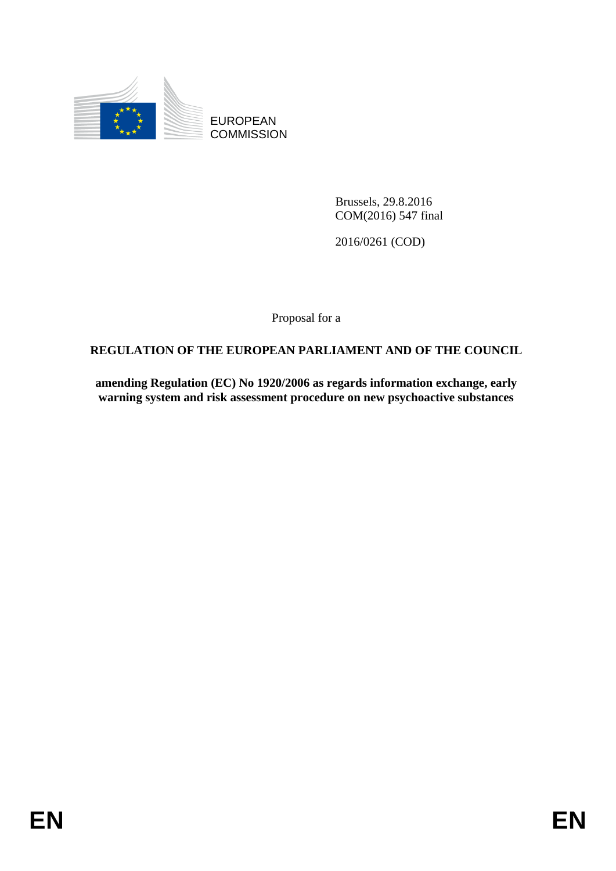

EUROPEAN **COMMISSION** 

> Brussels, 29.8.2016 COM(2016) 547 final

2016/0261 (COD)

Proposal for a

# **REGULATION OF THE EUROPEAN PARLIAMENT AND OF THE COUNCIL**

**amending Regulation (EC) No 1920/2006 as regards information exchange, early warning system and risk assessment procedure on new psychoactive substances**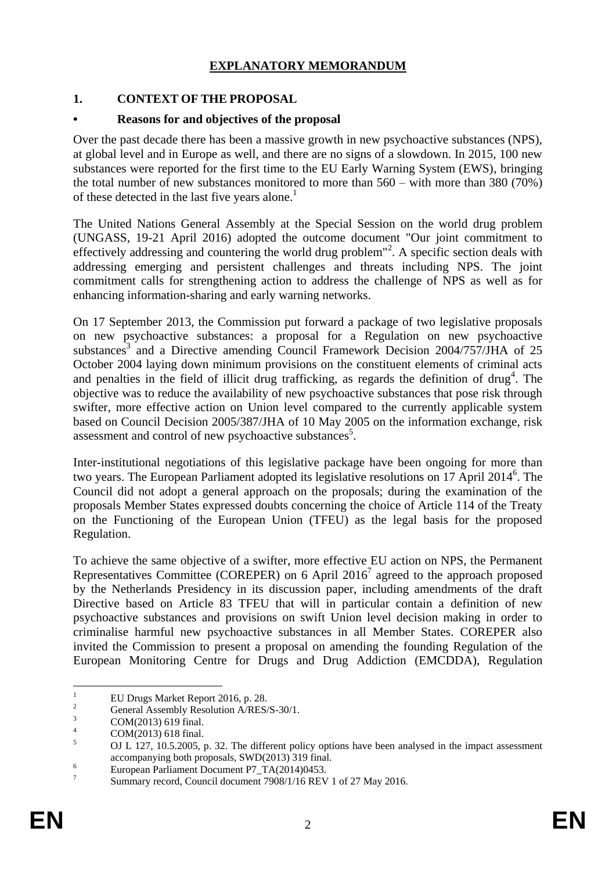## **EXPLANATORY MEMORANDUM**

## **1. CONTEXT OF THE PROPOSAL**

### **• Reasons for and objectives of the proposal**

Over the past decade there has been a massive growth in new psychoactive substances (NPS), at global level and in Europe as well, and there are no signs of a slowdown. In 2015, 100 new substances were reported for the first time to the EU Early Warning System (EWS), bringing the total number of new substances monitored to more than 560 – with more than 380 (70%) of these detected in the last five years alone.<sup>1</sup>

The United Nations General Assembly at the Special Session on the world drug problem (UNGASS, 19-21 April 2016) adopted the outcome document "Our joint commitment to effectively addressing and countering the world drug problem"<sup>2</sup>. A specific section deals with addressing emerging and persistent challenges and threats including NPS. The joint commitment calls for strengthening action to address the challenge of NPS as well as for enhancing information-sharing and early warning networks.

On 17 September 2013, the Commission put forward a package of two legislative proposals on new psychoactive substances: a proposal for a Regulation on new psychoactive substances<sup>3</sup> and a Directive amending Council Framework Decision  $2004/757/JHA$  of 25 October 2004 laying down minimum provisions on the constituent elements of criminal acts and penalties in the field of illicit drug trafficking, as regards the definition of drug<sup>4</sup>. The objective was to reduce the availability of new psychoactive substances that pose risk through swifter, more effective action on Union level compared to the currently applicable system based on Council Decision 2005/387/JHA of 10 May 2005 on the information exchange, risk assessment and control of new psychoactive substances<sup>5</sup>.

Inter-institutional negotiations of this legislative package have been ongoing for more than two years. The European Parliament adopted its legislative resolutions on 17 April 2014<sup>6</sup>. The Council did not adopt a general approach on the proposals; during the examination of the proposals Member States expressed doubts concerning the choice of Article 114 of the Treaty on the Functioning of the European Union (TFEU) as the legal basis for the proposed Regulation.

To achieve the same objective of a swifter, more effective EU action on NPS, the Permanent Representatives Committee (COREPER) on 6 April 2016<sup>7</sup> agreed to the approach proposed by the Netherlands Presidency in its discussion paper, including amendments of the draft Directive based on Article 83 TFEU that will in particular contain a definition of new psychoactive substances and provisions on swift Union level decision making in order to criminalise harmful new psychoactive substances in all Member States. COREPER also invited the Commission to present a proposal on amending the founding Regulation of the European Monitoring Centre for Drugs and Drug Addiction (EMCDDA), Regulation

 $\bar{1}$ <sup>1</sup> EU Drugs Market Report 2016, p. 28.

<sup>&</sup>lt;sup>2</sup> General Assembly Resolution A/RES/S-30/1.

 $\frac{3}{4}$  COM(2013) 619 final.

 $^{4}$  COM(2013) 618 final.

<sup>5</sup> OJ L 127, 10.5.2005, p. 32. The different policy options have been analysed in the impact assessment accompanying both proposals, SWD(2013) 319 final.

 $\frac{6}{5}$  European Parliament Document P7\_TA(2014)0453.

<sup>7</sup> Summary record, Council document 7908/1/16 REV 1 of 27 May 2016.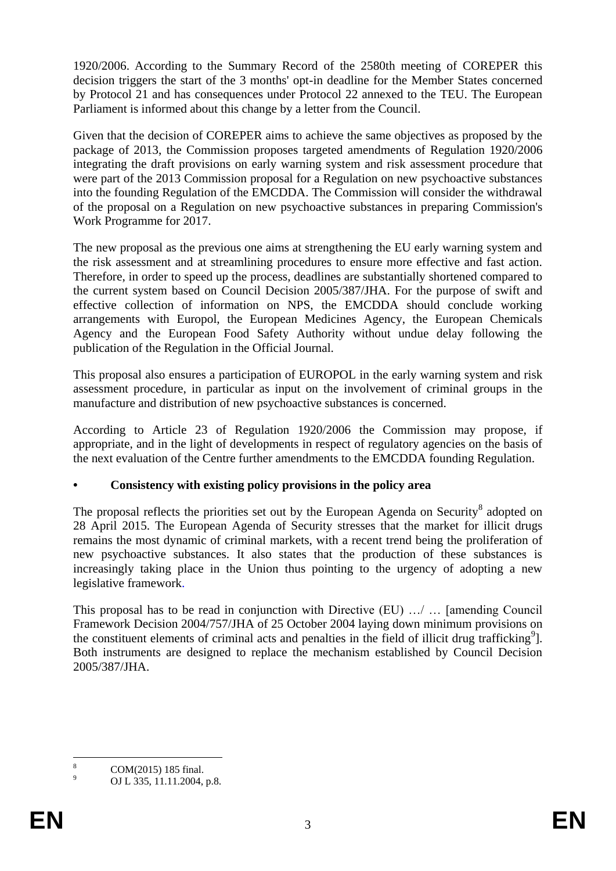1920/2006. According to the Summary Record of the 2580th meeting of COREPER this decision triggers the start of the 3 months' opt-in deadline for the Member States concerned by Protocol 21 and has consequences under Protocol 22 annexed to the TEU. The European Parliament is informed about this change by a letter from the Council.

Given that the decision of COREPER aims to achieve the same objectives as proposed by the package of 2013, the Commission proposes targeted amendments of Regulation 1920/2006 integrating the draft provisions on early warning system and risk assessment procedure that were part of the 2013 Commission proposal for a Regulation on new psychoactive substances into the founding Regulation of the EMCDDA. The Commission will consider the withdrawal of the proposal on a Regulation on new psychoactive substances in preparing Commission's Work Programme for 2017.

The new proposal as the previous one aims at strengthening the EU early warning system and the risk assessment and at streamlining procedures to ensure more effective and fast action. Therefore, in order to speed up the process, deadlines are substantially shortened compared to the current system based on Council Decision 2005/387/JHA. For the purpose of swift and effective collection of information on NPS, the EMCDDA should conclude working arrangements with Europol, the European Medicines Agency, the European Chemicals Agency and the European Food Safety Authority without undue delay following the publication of the Regulation in the Official Journal.

This proposal also ensures a participation of EUROPOL in the early warning system and risk assessment procedure, in particular as input on the involvement of criminal groups in the manufacture and distribution of new psychoactive substances is concerned.

According to Article 23 of Regulation 1920/2006 the Commission may propose, if appropriate, and in the light of developments in respect of regulatory agencies on the basis of the next evaluation of the Centre further amendments to the EMCDDA founding Regulation.

# **• Consistency with existing policy provisions in the policy area**

The proposal reflects the priorities set out by the European Agenda on Security<sup>8</sup> adopted on 28 April 2015. The European Agenda of Security stresses that the market for illicit drugs remains the most dynamic of criminal markets, with a recent trend being the proliferation of new psychoactive substances. It also states that the production of these substances is increasingly taking place in the Union thus pointing to the urgency of adopting a new legislative framework.

This proposal has to be read in conjunction with Directive (EU) …/ … [amending Council Framework Decision 2004/757/JHA of 25 October 2004 laying down minimum provisions on the constituent elements of criminal acts and penalties in the field of illicit drug trafficking<sup>9</sup>]. Both instruments are designed to replace the mechanism established by Council Decision 2005/387/JHA.

<sup>8</sup>  $\frac{8}{9}$  COM(2015) 185 final.

<sup>9</sup> OJ L 335, 11.11.2004, p.8.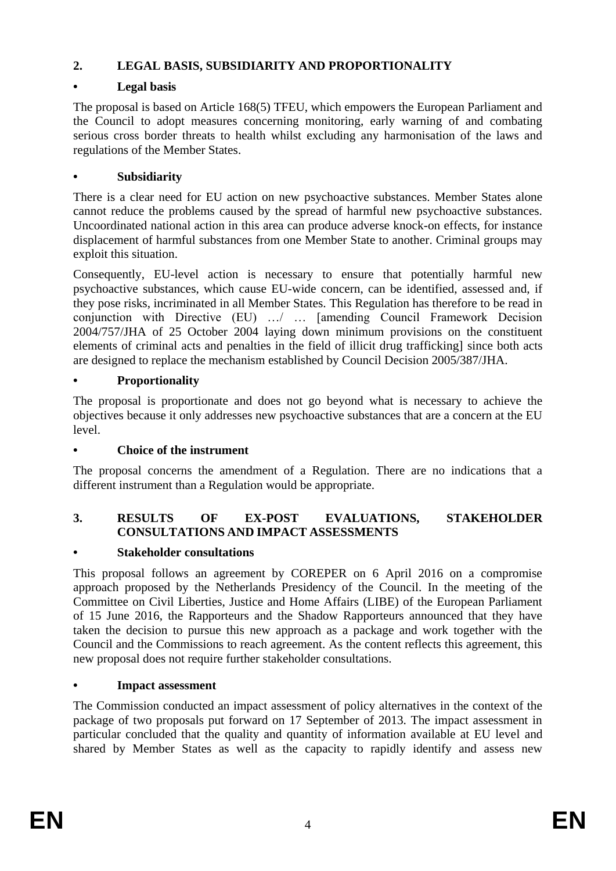# **2. LEGAL BASIS, SUBSIDIARITY AND PROPORTIONALITY**

# **• Legal basis**

The proposal is based on Article 168(5) TFEU, which empowers the European Parliament and the Council to adopt measures concerning monitoring, early warning of and combating serious cross border threats to health whilst excluding any harmonisation of the laws and regulations of the Member States.

# **• Subsidiarity**

There is a clear need for EU action on new psychoactive substances. Member States alone cannot reduce the problems caused by the spread of harmful new psychoactive substances. Uncoordinated national action in this area can produce adverse knock-on effects, for instance displacement of harmful substances from one Member State to another. Criminal groups may exploit this situation.

Consequently, EU-level action is necessary to ensure that potentially harmful new psychoactive substances, which cause EU-wide concern, can be identified, assessed and, if they pose risks, incriminated in all Member States. This Regulation has therefore to be read in conjunction with Directive (EU) …/ … [amending Council Framework Decision 2004/757/JHA of 25 October 2004 laying down minimum provisions on the constituent elements of criminal acts and penalties in the field of illicit drug trafficking] since both acts are designed to replace the mechanism established by Council Decision 2005/387/JHA.

# **• Proportionality**

The proposal is proportionate and does not go beyond what is necessary to achieve the objectives because it only addresses new psychoactive substances that are a concern at the EU level.

## **• Choice of the instrument**

The proposal concerns the amendment of a Regulation. There are no indications that a different instrument than a Regulation would be appropriate.

# **3. RESULTS OF EX-POST EVALUATIONS, STAKEHOLDER CONSULTATIONS AND IMPACT ASSESSMENTS**

## **• Stakeholder consultations**

This proposal follows an agreement by COREPER on 6 April 2016 on a compromise approach proposed by the Netherlands Presidency of the Council. In the meeting of the Committee on Civil Liberties, Justice and Home Affairs (LIBE) of the European Parliament of 15 June 2016, the Rapporteurs and the Shadow Rapporteurs announced that they have taken the decision to pursue this new approach as a package and work together with the Council and the Commissions to reach agreement. As the content reflects this agreement, this new proposal does not require further stakeholder consultations.

## **• Impact assessment**

The Commission conducted an impact assessment of policy alternatives in the context of the package of two proposals put forward on 17 September of 2013. The impact assessment in particular concluded that the quality and quantity of information available at EU level and shared by Member States as well as the capacity to rapidly identify and assess new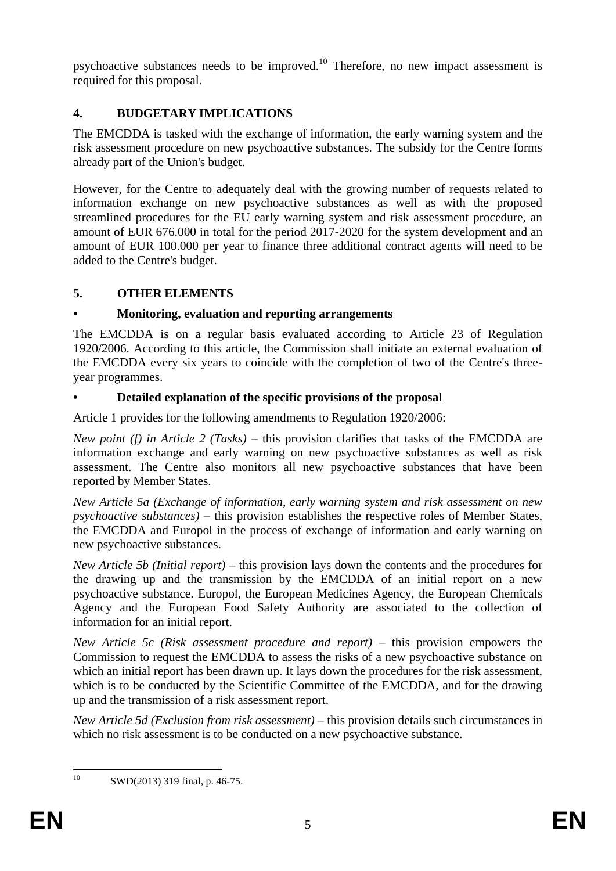psychoactive substances needs to be improved.<sup>10</sup> Therefore, no new impact assessment is required for this proposal.

# **4. BUDGETARY IMPLICATIONS**

The EMCDDA is tasked with the exchange of information, the early warning system and the risk assessment procedure on new psychoactive substances. The subsidy for the Centre forms already part of the Union's budget.

However, for the Centre to adequately deal with the growing number of requests related to information exchange on new psychoactive substances as well as with the proposed streamlined procedures for the EU early warning system and risk assessment procedure, an amount of EUR 676.000 in total for the period 2017-2020 for the system development and an amount of EUR 100.000 per year to finance three additional contract agents will need to be added to the Centre's budget.

# **5. OTHER ELEMENTS**

# **• Monitoring, evaluation and reporting arrangements**

The EMCDDA is on a regular basis evaluated according to Article 23 of Regulation 1920/2006. According to this article, the Commission shall initiate an external evaluation of the EMCDDA every six years to coincide with the completion of two of the Centre's threeyear programmes.

# **• Detailed explanation of the specific provisions of the proposal**

Article 1 provides for the following amendments to Regulation 1920/2006:

*New point (f) in Article 2 (Tasks)* – this provision clarifies that tasks of the EMCDDA are information exchange and early warning on new psychoactive substances as well as risk assessment. The Centre also monitors all new psychoactive substances that have been reported by Member States.

*New Article 5a (Exchange of information, early warning system and risk assessment on new psychoactive substances)* – this provision establishes the respective roles of Member States, the EMCDDA and Europol in the process of exchange of information and early warning on new psychoactive substances.

*New Article 5b (Initial report)* – this provision lays down the contents and the procedures for the drawing up and the transmission by the EMCDDA of an initial report on a new psychoactive substance. Europol, the European Medicines Agency, the European Chemicals Agency and the European Food Safety Authority are associated to the collection of information for an initial report.

*New Article 5c (Risk assessment procedure and report)* – this provision empowers the Commission to request the EMCDDA to assess the risks of a new psychoactive substance on which an initial report has been drawn up. It lays down the procedures for the risk assessment, which is to be conducted by the Scientific Committee of the EMCDDA, and for the drawing up and the transmission of a risk assessment report.

*New Article 5d (Exclusion from risk assessment) –* this provision details such circumstances in which no risk assessment is to be conducted on a new psychoactive substance.

 $10$ 

SWD(2013) 319 final, p. 46-75.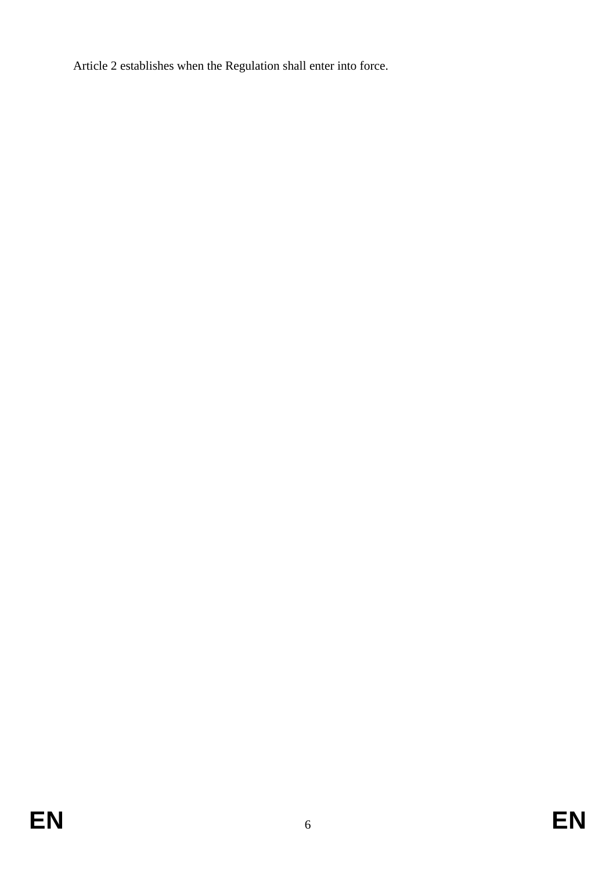Article 2 establishes when the Regulation shall enter into force.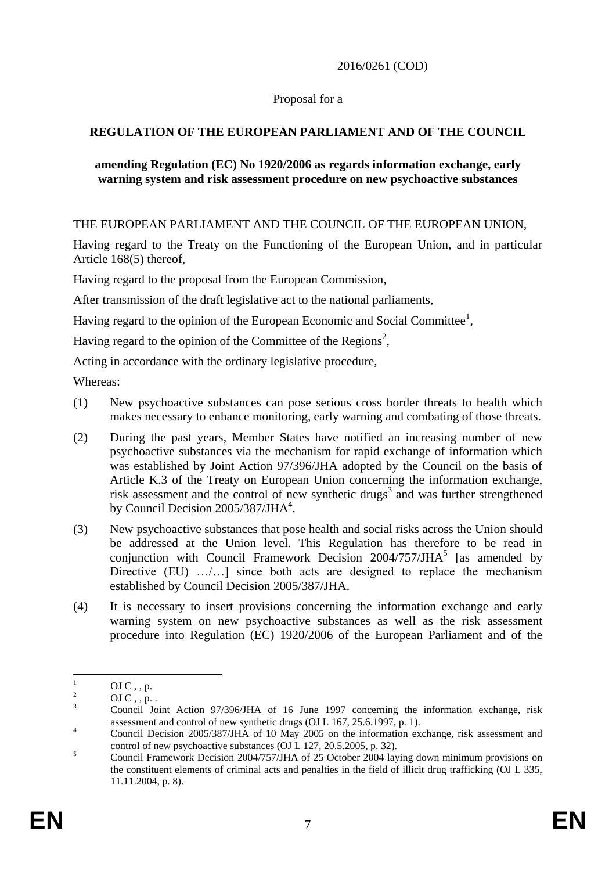### 2016/0261 (COD)

### Proposal for a

## **REGULATION OF THE EUROPEAN PARLIAMENT AND OF THE COUNCIL**

#### **amending Regulation (EC) No 1920/2006 as regards information exchange, early warning system and risk assessment procedure on new psychoactive substances**

THE EUROPEAN PARLIAMENT AND THE COUNCIL OF THE EUROPEAN UNION,

Having regard to the Treaty on the Functioning of the European Union, and in particular Article 168(5) thereof,

Having regard to the proposal from the European Commission,

After transmission of the draft legislative act to the national parliaments,

Having regard to the opinion of the European Economic and Social Committee<sup>1</sup>,

Having regard to the opinion of the Committee of the Regions<sup>2</sup>,

Acting in accordance with the ordinary legislative procedure,

Whereas:

- (1) New psychoactive substances can pose serious cross border threats to health which makes necessary to enhance monitoring, early warning and combating of those threats.
- (2) During the past years, Member States have notified an increasing number of new psychoactive substances via the mechanism for rapid exchange of information which was established by Joint Action 97/396/JHA adopted by the Council on the basis of Article K.3 of the Treaty on European Union concerning the information exchange, risk assessment and the control of new synthetic drugs<sup>3</sup> and was further strengthened by Council Decision  $2005/387/JHA<sup>4</sup>$ .
- (3) New psychoactive substances that pose health and social risks across the Union should be addressed at the Union level. This Regulation has therefore to be read in conjunction with Council Framework Decision  $2004/757/JHA<sup>5</sup>$  [as amended by Directive (EU) .......] since both acts are designed to replace the mechanism established by Council Decision 2005/387/JHA.
- (4) It is necessary to insert provisions concerning the information exchange and early warning system on new psychoactive substances as well as the risk assessment procedure into Regulation (EC) 1920/2006 of the European Parliament and of the

 $\mathbf{1}$  $\frac{1}{2}$  OJ C, , p.

 $\frac{2}{3}$  OJ C, , p.

<sup>3</sup> Council Joint Action 97/396/JHA of 16 June 1997 concerning the information exchange, risk assessment and control of new synthetic drugs (OJ L 167, 25.6.1997, p. 1).

<sup>&</sup>lt;sup>4</sup> Council Decision 2005/387/JHA of 10 May 2005 on the information exchange, risk assessment and control of new psychoactive substances (OJ L 127, 20.5.2005, p. 32).

 $\frac{5}{5}$  Council Framework Decision 2004/757/JHA of 25 October 2004 laying down minimum provisions on the constituent elements of criminal acts and penalties in the field of illicit drug trafficking (OJ L 335, 11.11.2004, p. 8).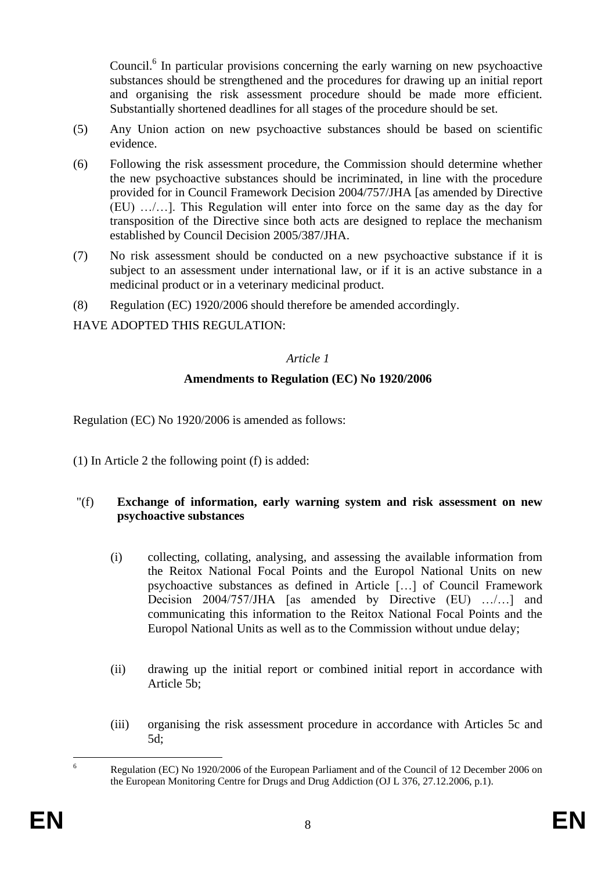Council.<sup>6</sup> In particular provisions concerning the early warning on new psychoactive substances should be strengthened and the procedures for drawing up an initial report and organising the risk assessment procedure should be made more efficient. Substantially shortened deadlines for all stages of the procedure should be set.

- (5) Any Union action on new psychoactive substances should be based on scientific evidence.
- (6) Following the risk assessment procedure, the Commission should determine whether the new psychoactive substances should be incriminated, in line with the procedure provided for in Council Framework Decision 2004/757/JHA [as amended by Directive (EU) …/…]. This Regulation will enter into force on the same day as the day for transposition of the Directive since both acts are designed to replace the mechanism established by Council Decision 2005/387/JHA.
- (7) No risk assessment should be conducted on a new psychoactive substance if it is subject to an assessment under international law, or if it is an active substance in a medicinal product or in a veterinary medicinal product.
- (8) Regulation (EC) 1920/2006 should therefore be amended accordingly.

HAVE ADOPTED THIS REGULATION:

#### *Article 1*

## **Amendments to Regulation (EC) No 1920/2006**

Regulation (EC) No 1920/2006 is amended as follows:

(1) In Article 2 the following point (f) is added:

### "(f) **Exchange of information, early warning system and risk assessment on new psychoactive substances**

- (i) collecting, collating, analysing, and assessing the available information from the Reitox National Focal Points and the Europol National Units on new psychoactive substances as defined in Article […] of Council Framework Decision 2004/757/JHA [as amended by Directive (EU) …/…] and communicating this information to the Reitox National Focal Points and the Europol National Units as well as to the Commission without undue delay;
- (ii) drawing up the initial report or combined initial report in accordance with Article 5b;
- (iii) organising the risk assessment procedure in accordance with Articles 5c and 5d;

 $6\overline{6}$ <sup>6</sup> Regulation (EC) No 1920/2006 of the European Parliament and of the Council of 12 December 2006 on the European Monitoring Centre for Drugs and Drug Addiction (OJ L 376, 27.12.2006, p.1).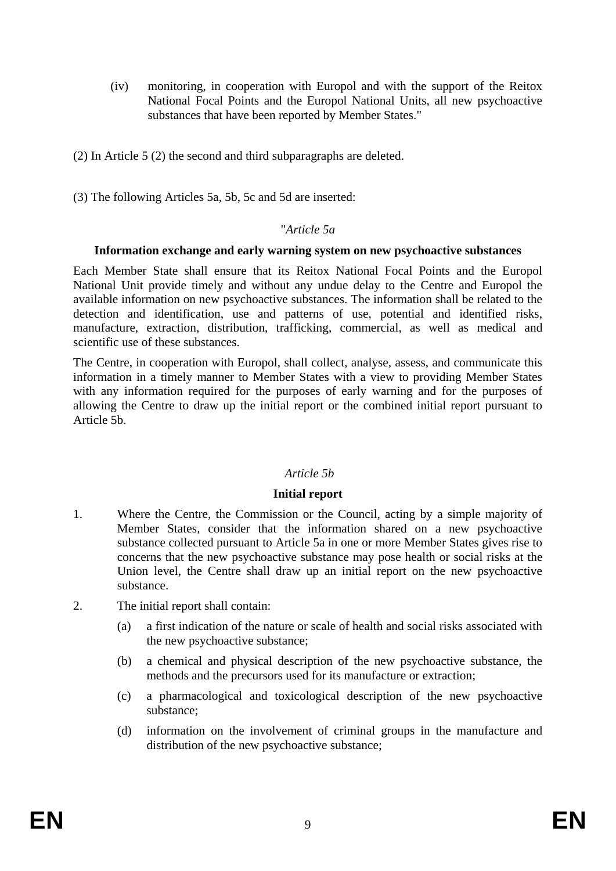- (iv) monitoring, in cooperation with Europol and with the support of the Reitox National Focal Points and the Europol National Units, all new psychoactive substances that have been reported by Member States."
- (2) In Article 5 (2) the second and third subparagraphs are deleted.
- (3) The following Articles 5a, 5b, 5c and 5d are inserted:

#### "*Article 5a*

#### **Information exchange and early warning system on new psychoactive substances**

Each Member State shall ensure that its Reitox National Focal Points and the Europol National Unit provide timely and without any undue delay to the Centre and Europol the available information on new psychoactive substances. The information shall be related to the detection and identification, use and patterns of use, potential and identified risks, manufacture, extraction, distribution, trafficking, commercial, as well as medical and scientific use of these substances.

The Centre, in cooperation with Europol, shall collect, analyse, assess, and communicate this information in a timely manner to Member States with a view to providing Member States with any information required for the purposes of early warning and for the purposes of allowing the Centre to draw up the initial report or the combined initial report pursuant to Article 5b.

#### *Article 5b*

#### **Initial report**

- 1. Where the Centre, the Commission or the Council, acting by a simple majority of Member States, consider that the information shared on a new psychoactive substance collected pursuant to Article 5a in one or more Member States gives rise to concerns that the new psychoactive substance may pose health or social risks at the Union level, the Centre shall draw up an initial report on the new psychoactive substance.
- 2. The initial report shall contain:
	- (a) a first indication of the nature or scale of health and social risks associated with the new psychoactive substance;
	- (b) a chemical and physical description of the new psychoactive substance, the methods and the precursors used for its manufacture or extraction;
	- (c) a pharmacological and toxicological description of the new psychoactive substance;
	- (d) information on the involvement of criminal groups in the manufacture and distribution of the new psychoactive substance;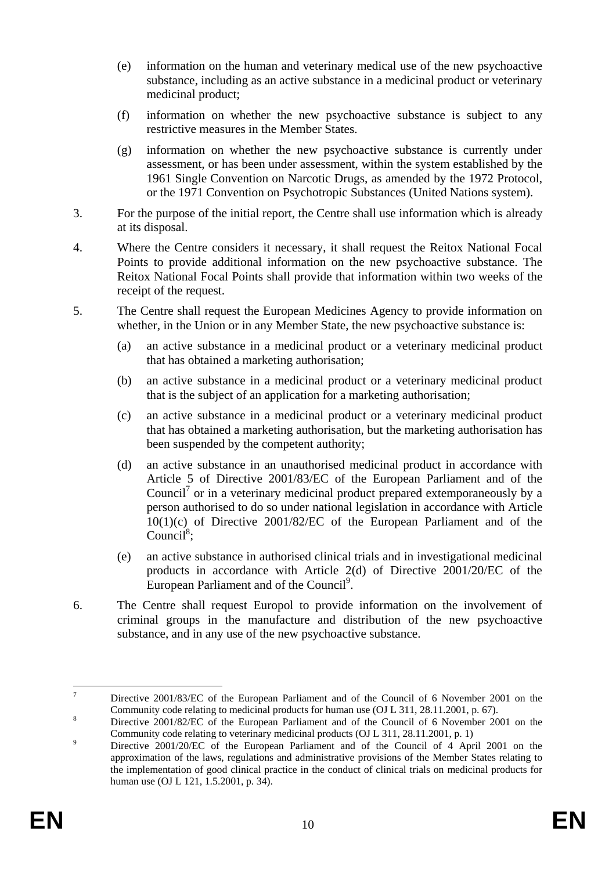- (e) information on the human and veterinary medical use of the new psychoactive substance, including as an active substance in a medicinal product or veterinary medicinal product;
- (f) information on whether the new psychoactive substance is subject to any restrictive measures in the Member States.
- (g) information on whether the new psychoactive substance is currently under assessment, or has been under assessment, within the system established by the 1961 Single Convention on Narcotic Drugs, as amended by the 1972 Protocol, or the 1971 Convention on Psychotropic Substances (United Nations system).
- 3. For the purpose of the initial report, the Centre shall use information which is already at its disposal.
- 4. Where the Centre considers it necessary, it shall request the Reitox National Focal Points to provide additional information on the new psychoactive substance. The Reitox National Focal Points shall provide that information within two weeks of the receipt of the request.
- 5. The Centre shall request the European Medicines Agency to provide information on whether, in the Union or in any Member State, the new psychoactive substance is:
	- (a) an active substance in a medicinal product or a veterinary medicinal product that has obtained a marketing authorisation;
	- (b) an active substance in a medicinal product or a veterinary medicinal product that is the subject of an application for a marketing authorisation;
	- (c) an active substance in a medicinal product or a veterinary medicinal product that has obtained a marketing authorisation, but the marketing authorisation has been suspended by the competent authority;
	- (d) an active substance in an unauthorised medicinal product in accordance with Article 5 of Directive 2001/83/EC of the European Parliament and of the Council<sup>7</sup> or in a veterinary medicinal product prepared extemporaneously by a person authorised to do so under national legislation in accordance with Article 10(1)(c) of Directive 2001/82/EC of the European Parliament and of the Council<sup>8</sup>;
	- (e) an active substance in authorised clinical trials and in investigational medicinal products in accordance with Article 2(d) of Directive 2001/20/EC of the European Parliament and of the Council<sup>9</sup>.
- 6. The Centre shall request Europol to provide information on the involvement of criminal groups in the manufacture and distribution of the new psychoactive substance, and in any use of the new psychoactive substance.

 $\overline{\tau}$ <sup>7</sup> Directive 2001/83/EC of the European Parliament and of the Council of 6 November 2001 on the Community code relating to medicinal products for human use (OJ L 311, 28.11.2001, p. 67).

<sup>&</sup>lt;sup>8</sup><br><sup>8</sup> Directive 2001/82/EC of the European Parliament and of the Council of 6 November 2001 on the Community code relating to veterinary medicinal products (OJ L 311, 28.11.2001, p. 1)

<sup>&</sup>lt;sup>9</sup> Directive 2001/20/EC of the European Parliament and of the Council of 4 April 2001 on the approximation of the laws, regulations and administrative provisions of the Member States relating to the implementation of good clinical practice in the conduct of clinical trials on medicinal products for human use (OJ L 121, 1.5.2001, p. 34).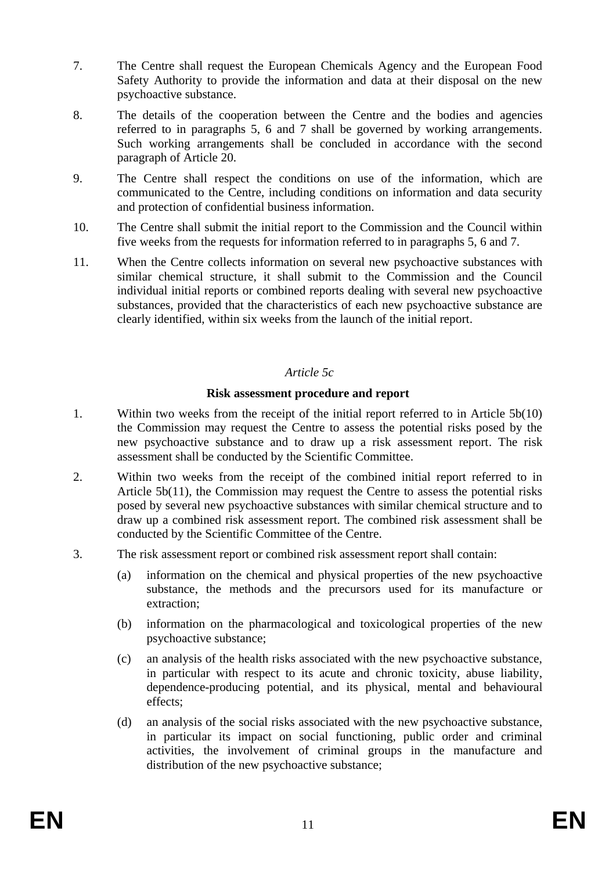- 7. The Centre shall request the European Chemicals Agency and the European Food Safety Authority to provide the information and data at their disposal on the new psychoactive substance.
- 8. The details of the cooperation between the Centre and the bodies and agencies referred to in paragraphs 5, 6 and 7 shall be governed by working arrangements. Such working arrangements shall be concluded in accordance with the second paragraph of Article 20.
- 9. The Centre shall respect the conditions on use of the information, which are communicated to the Centre, including conditions on information and data security and protection of confidential business information.
- 10. The Centre shall submit the initial report to the Commission and the Council within five weeks from the requests for information referred to in paragraphs 5, 6 and 7.
- 11. When the Centre collects information on several new psychoactive substances with similar chemical structure, it shall submit to the Commission and the Council individual initial reports or combined reports dealing with several new psychoactive substances, provided that the characteristics of each new psychoactive substance are clearly identified, within six weeks from the launch of the initial report.

### *Article 5c*

#### **Risk assessment procedure and report**

- 1. Within two weeks from the receipt of the initial report referred to in Article 5b(10) the Commission may request the Centre to assess the potential risks posed by the new psychoactive substance and to draw up a risk assessment report. The risk assessment shall be conducted by the Scientific Committee.
- 2. Within two weeks from the receipt of the combined initial report referred to in Article 5b(11), the Commission may request the Centre to assess the potential risks posed by several new psychoactive substances with similar chemical structure and to draw up a combined risk assessment report. The combined risk assessment shall be conducted by the Scientific Committee of the Centre.
- 3. The risk assessment report or combined risk assessment report shall contain:
	- (a) information on the chemical and physical properties of the new psychoactive substance, the methods and the precursors used for its manufacture or extraction;
	- (b) information on the pharmacological and toxicological properties of the new psychoactive substance;
	- (c) an analysis of the health risks associated with the new psychoactive substance, in particular with respect to its acute and chronic toxicity, abuse liability, dependence-producing potential, and its physical, mental and behavioural effects;
	- (d) an analysis of the social risks associated with the new psychoactive substance, in particular its impact on social functioning, public order and criminal activities, the involvement of criminal groups in the manufacture and distribution of the new psychoactive substance;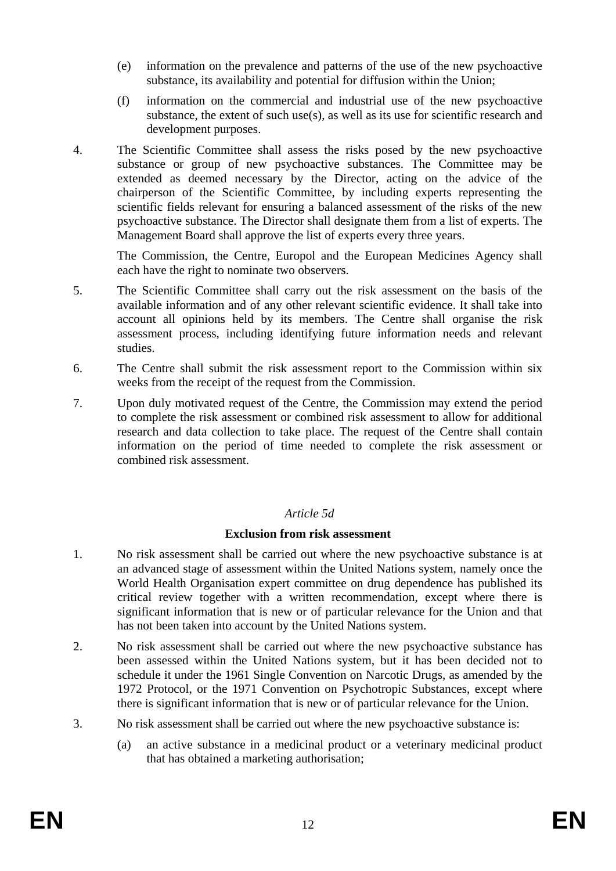- (e) information on the prevalence and patterns of the use of the new psychoactive substance, its availability and potential for diffusion within the Union;
- (f) information on the commercial and industrial use of the new psychoactive substance, the extent of such use(s), as well as its use for scientific research and development purposes.
- 4. The Scientific Committee shall assess the risks posed by the new psychoactive substance or group of new psychoactive substances. The Committee may be extended as deemed necessary by the Director, acting on the advice of the chairperson of the Scientific Committee, by including experts representing the scientific fields relevant for ensuring a balanced assessment of the risks of the new psychoactive substance. The Director shall designate them from a list of experts. The Management Board shall approve the list of experts every three years.

The Commission, the Centre, Europol and the European Medicines Agency shall each have the right to nominate two observers.

- 5. The Scientific Committee shall carry out the risk assessment on the basis of the available information and of any other relevant scientific evidence. It shall take into account all opinions held by its members. The Centre shall organise the risk assessment process, including identifying future information needs and relevant studies.
- 6. The Centre shall submit the risk assessment report to the Commission within six weeks from the receipt of the request from the Commission.
- 7. Upon duly motivated request of the Centre, the Commission may extend the period to complete the risk assessment or combined risk assessment to allow for additional research and data collection to take place. The request of the Centre shall contain information on the period of time needed to complete the risk assessment or combined risk assessment.

#### *Article 5d*

#### **Exclusion from risk assessment**

- 1. No risk assessment shall be carried out where the new psychoactive substance is at an advanced stage of assessment within the United Nations system, namely once the World Health Organisation expert committee on drug dependence has published its critical review together with a written recommendation, except where there is significant information that is new or of particular relevance for the Union and that has not been taken into account by the United Nations system.
- 2. No risk assessment shall be carried out where the new psychoactive substance has been assessed within the United Nations system, but it has been decided not to schedule it under the 1961 Single Convention on Narcotic Drugs, as amended by the 1972 Protocol, or the 1971 Convention on Psychotropic Substances, except where there is significant information that is new or of particular relevance for the Union.
- 3. No risk assessment shall be carried out where the new psychoactive substance is:
	- (a) an active substance in a medicinal product or a veterinary medicinal product that has obtained a marketing authorisation;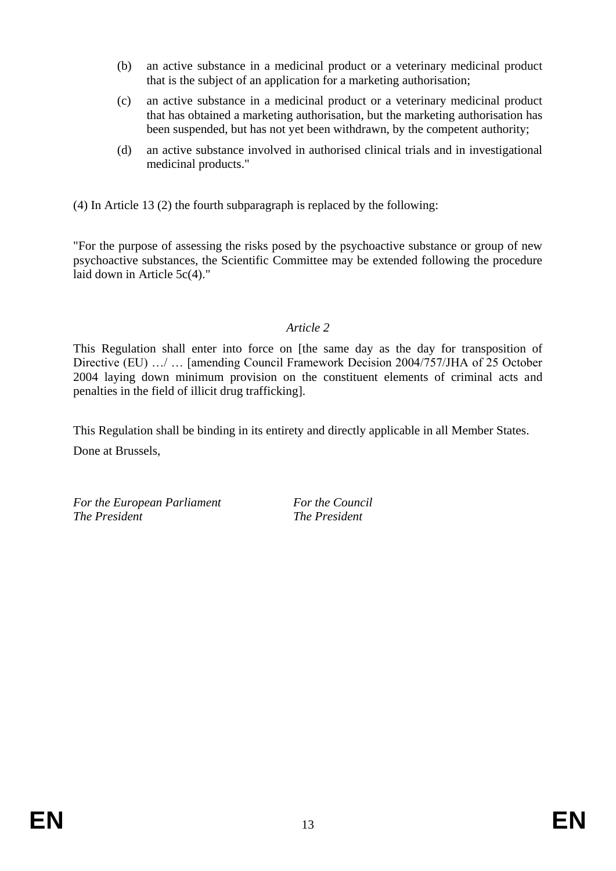- (b) an active substance in a medicinal product or a veterinary medicinal product that is the subject of an application for a marketing authorisation;
- (c) an active substance in a medicinal product or a veterinary medicinal product that has obtained a marketing authorisation, but the marketing authorisation has been suspended, but has not yet been withdrawn, by the competent authority;
- (d) an active substance involved in authorised clinical trials and in investigational medicinal products."

(4) In Article 13 (2) the fourth subparagraph is replaced by the following:

"For the purpose of assessing the risks posed by the psychoactive substance or group of new psychoactive substances, the Scientific Committee may be extended following the procedure laid down in Article 5c(4)."

## *Article 2*

This Regulation shall enter into force on [the same day as the day for transposition of Directive (EU) …/ … [amending Council Framework Decision 2004/757/JHA of 25 October 2004 laying down minimum provision on the constituent elements of criminal acts and penalties in the field of illicit drug trafficking].

This Regulation shall be binding in its entirety and directly applicable in all Member States.

Done at Brussels,

*For the European Parliament For the Council The President The President*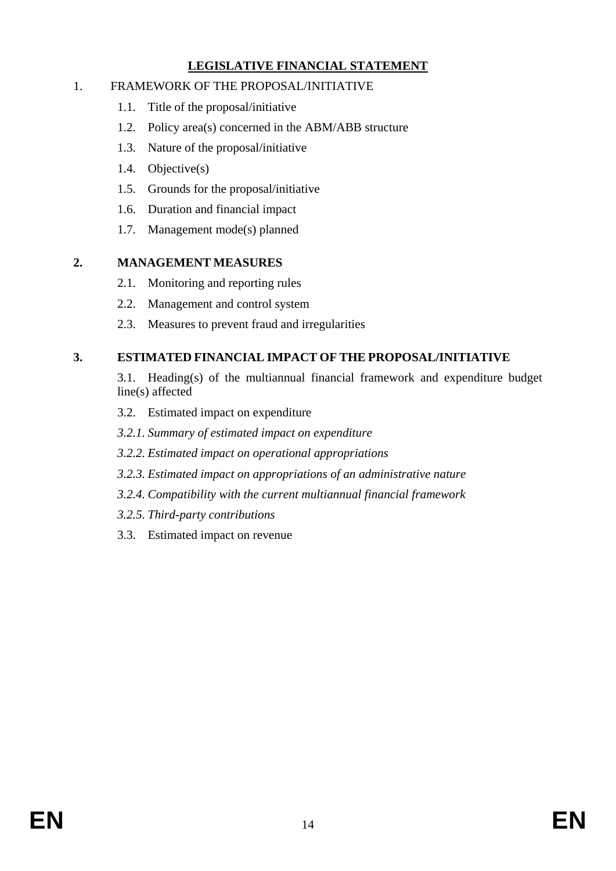# **LEGISLATIVE FINANCIAL STATEMENT**

### 1. FRAMEWORK OF THE PROPOSAL/INITIATIVE

- 1.1. Title of the proposal/initiative
- 1.2. Policy area(s) concerned in the ABM/ABB structure
- 1.3. Nature of the proposal/initiative
- 1.4. Objective(s)
- 1.5. Grounds for the proposal/initiative
- 1.6. Duration and financial impact
- 1.7. Management mode(s) planned

### **2. MANAGEMENT MEASURES**

- 2.1. Monitoring and reporting rules
- 2.2. Management and control system
- 2.3. Measures to prevent fraud and irregularities

# **3. ESTIMATED FINANCIAL IMPACT OF THE PROPOSAL/INITIATIVE**

3.1. Heading(s) of the multiannual financial framework and expenditure budget line(s) affected

- 3.2. Estimated impact on expenditure
- *3.2.1. Summary of estimated impact on expenditure*
- *3.2.2. Estimated impact on operational appropriations*
- *3.2.3. Estimated impact on appropriations of an administrative nature*
- *3.2.4. Compatibility with the current multiannual financial framework*
- *3.2.5. Third-party contributions*
- 3.3. Estimated impact on revenue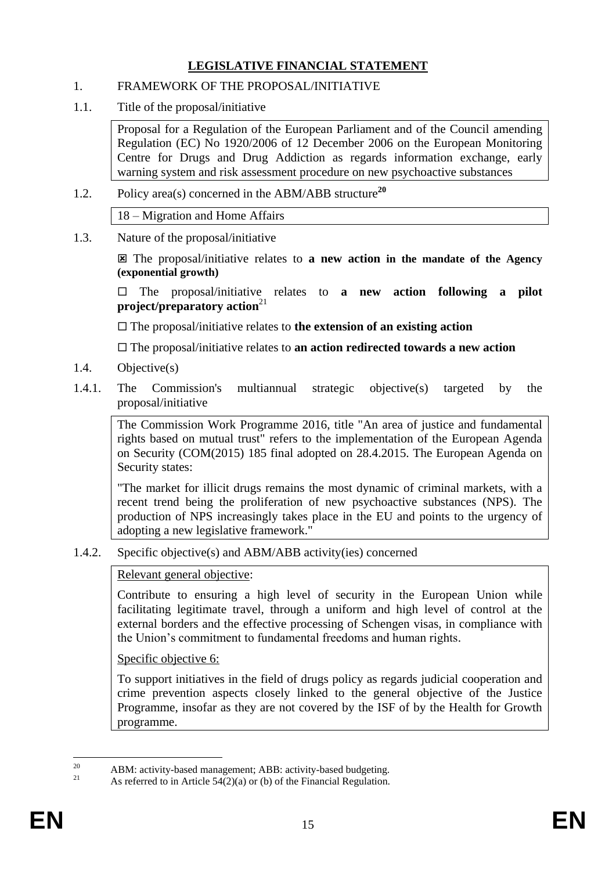# **LEGISLATIVE FINANCIAL STATEMENT**

### 1. FRAMEWORK OF THE PROPOSAL/INITIATIVE

1.1. Title of the proposal/initiative

Proposal for a Regulation of the European Parliament and of the Council amending Regulation (EC) No 1920/2006 of 12 December 2006 on the European Monitoring Centre for Drugs and Drug Addiction as regards information exchange, early warning system and risk assessment procedure on new psychoactive substances

1.2. Policy area(s) concerned in the ABM/ABB structure**<sup>20</sup>**

18 – Migration and Home Affairs

1.3. Nature of the proposal/initiative

 The proposal/initiative relates to **a new action in the mandate of the Agency (exponential growth)**

 $\Box$  The proposal/initiative relates to **a new action following a pilot project/preparatory action**<sup>21</sup>

The proposal/initiative relates to **the extension of an existing action**

The proposal/initiative relates to **an action redirected towards a new action**

- 1.4. Objective(s)
- 1.4.1. The Commission's multiannual strategic objective(s) targeted by the proposal/initiative

The Commission Work Programme 2016, title "An area of justice and fundamental rights based on mutual trust" refers to the implementation of the European Agenda on Security (COM(2015) 185 final adopted on 28.4.2015. The European Agenda on Security states:

"The market for illicit drugs remains the most dynamic of criminal markets, with a recent trend being the proliferation of new psychoactive substances (NPS). The production of NPS increasingly takes place in the EU and points to the urgency of adopting a new legislative framework."

1.4.2. Specific objective(s) and ABM/ABB activity(ies) concerned

#### Relevant general objective:

Contribute to ensuring a high level of security in the European Union while facilitating legitimate travel, through a uniform and high level of control at the external borders and the effective processing of Schengen visas, in compliance with the Union's commitment to fundamental freedoms and human rights.

Specific objective 6:

To support initiatives in the field of drugs policy as regards judicial cooperation and crime prevention aspects closely linked to the general objective of the Justice Programme, insofar as they are not covered by the ISF of by the Health for Growth programme.

<sup>20</sup> <sup>20</sup> ABM: activity-based management; ABB: activity-based budgeting.

As referred to in Article  $54(2)(a)$  or (b) of the Financial Regulation.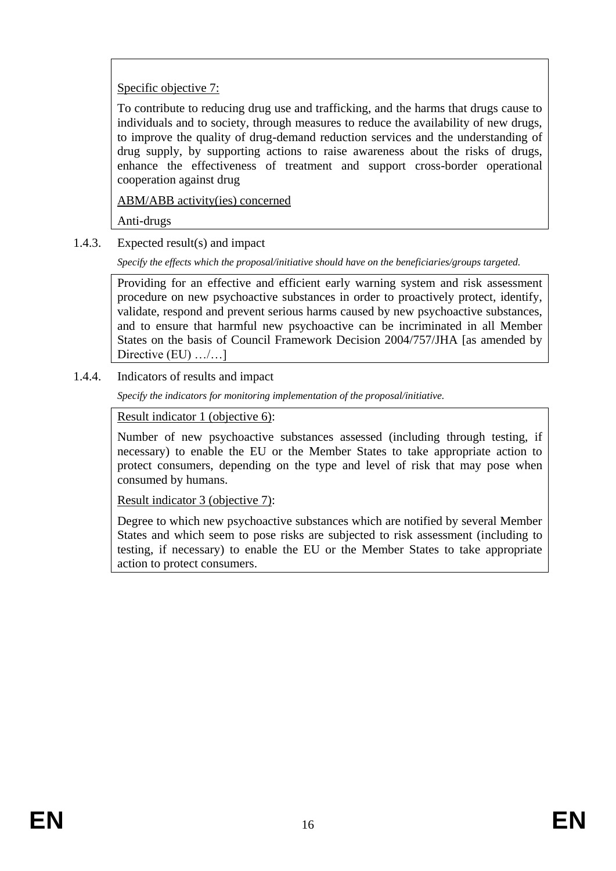# Specific objective 7:

To contribute to reducing drug use and trafficking, and the harms that drugs cause to individuals and to society, through measures to reduce the availability of new drugs, to improve the quality of drug-demand reduction services and the understanding of drug supply, by supporting actions to raise awareness about the risks of drugs, enhance the effectiveness of treatment and support cross-border operational cooperation against drug

ABM/ABB activity(ies) concerned

Anti-drugs

1.4.3. Expected result(s) and impact

*Specify the effects which the proposal/initiative should have on the beneficiaries/groups targeted.*

Providing for an effective and efficient early warning system and risk assessment procedure on new psychoactive substances in order to proactively protect, identify, validate, respond and prevent serious harms caused by new psychoactive substances, and to ensure that harmful new psychoactive can be incriminated in all Member States on the basis of Council Framework Decision 2004/757/JHA [as amended by Directive (EU) .../...]

1.4.4. Indicators of results and impact

*Specify the indicators for monitoring implementation of the proposal/initiative.*

Result indicator 1 (objective 6):

Number of new psychoactive substances assessed (including through testing, if necessary) to enable the EU or the Member States to take appropriate action to protect consumers, depending on the type and level of risk that may pose when consumed by humans.

Result indicator 3 (objective 7):

Degree to which new psychoactive substances which are notified by several Member States and which seem to pose risks are subjected to risk assessment (including to testing, if necessary) to enable the EU or the Member States to take appropriate action to protect consumers.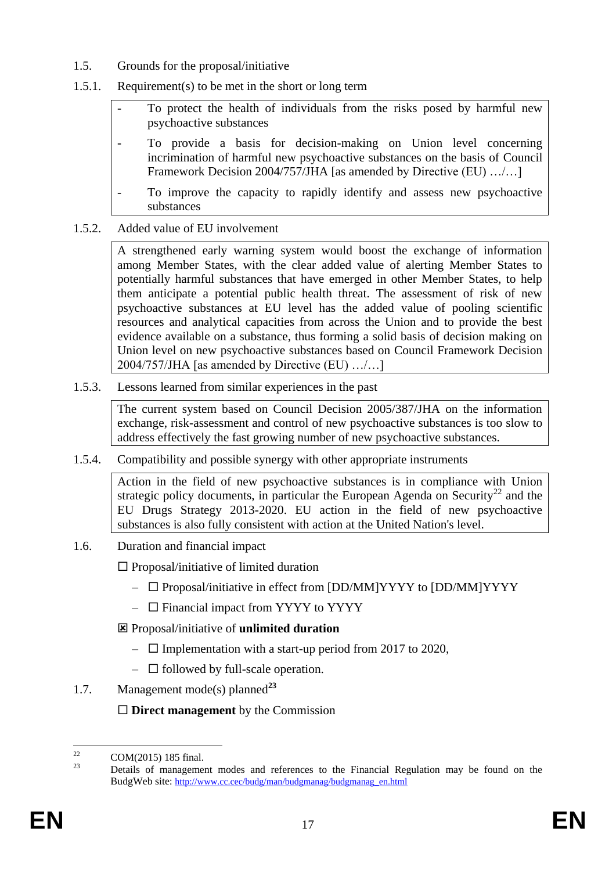- 1.5. Grounds for the proposal/initiative
- 1.5.1. Requirement(s) to be met in the short or long term
	- To protect the health of individuals from the risks posed by harmful new psychoactive substances
	- To provide a basis for decision-making on Union level concerning incrimination of harmful new psychoactive substances on the basis of Council Framework Decision 2004/757/JHA [as amended by Directive (EU) .../...]
	- To improve the capacity to rapidly identify and assess new psychoactive substances
- 1.5.2. Added value of EU involvement

A strengthened early warning system would boost the exchange of information among Member States, with the clear added value of alerting Member States to potentially harmful substances that have emerged in other Member States, to help them anticipate a potential public health threat. The assessment of risk of new psychoactive substances at EU level has the added value of pooling scientific resources and analytical capacities from across the Union and to provide the best evidence available on a substance, thus forming a solid basis of decision making on Union level on new psychoactive substances based on Council Framework Decision 2004/757/JHA [as amended by Directive (EU) …/…]

1.5.3. Lessons learned from similar experiences in the past

The current system based on Council Decision 2005/387/JHA on the information exchange, risk-assessment and control of new psychoactive substances is too slow to address effectively the fast growing number of new psychoactive substances.

1.5.4. Compatibility and possible synergy with other appropriate instruments

Action in the field of new psychoactive substances is in compliance with Union strategic policy documents, in particular the European Agenda on Security<sup>22</sup> and the EU Drugs Strategy 2013-2020. EU action in the field of new psychoactive substances is also fully consistent with action at the United Nation's level.

1.6. Duration and financial impact

 $\Box$  Proposal/initiative of limited duration

- $\Box$  Proposal/initiative in effect from [DD/MM]YYYY to [DD/MM]YYYY
- $\Box$  Financial impact from YYYY to YYYY
- Proposal/initiative of **unlimited duration**
	- $\Box$  Implementation with a start-up period from 2017 to 2020,
	- $\Box$  followed by full-scale operation.
- 1.7. Management mode(s) planned**<sup>23</sup>**

**Direct management** by the Commission

 $\overline{22}$  $\frac{22}{23}$  COM(2015) 185 final.

<sup>23</sup> Details of management modes and references to the Financial Regulation may be found on the BudgWeb site: http://www.cc.cec/budg/man/budgmanag/budgmanag\_en.html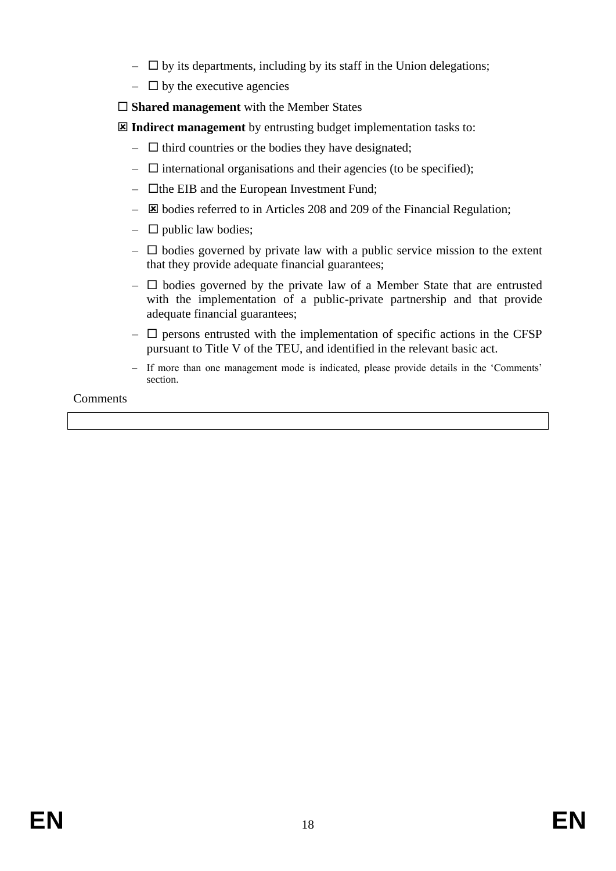- $\Box$  by its departments, including by its staff in the Union delegations;
- $\Box$  by the executive agencies
- □ **Shared management** with the Member States

**Indirect management** by entrusting budget implementation tasks to:

- $\Box$  third countries or the bodies they have designated;
- $\Box$  international organisations and their agencies (to be specified);
- $\Box$  the EIB and the European Investment Fund;
- $\boxtimes$  bodies referred to in Articles 208 and 209 of the Financial Regulation;
- $\Box$  public law bodies;
- $\Box$  bodies governed by private law with a public service mission to the extent that they provide adequate financial guarantees;
- $\Box$  bodies governed by the private law of a Member State that are entrusted with the implementation of a public-private partnership and that provide adequate financial guarantees;
- $\Box$  persons entrusted with the implementation of specific actions in the CFSP pursuant to Title V of the TEU, and identified in the relevant basic act.
- If more than one management mode is indicated, please provide details in the 'Comments' section.

Comments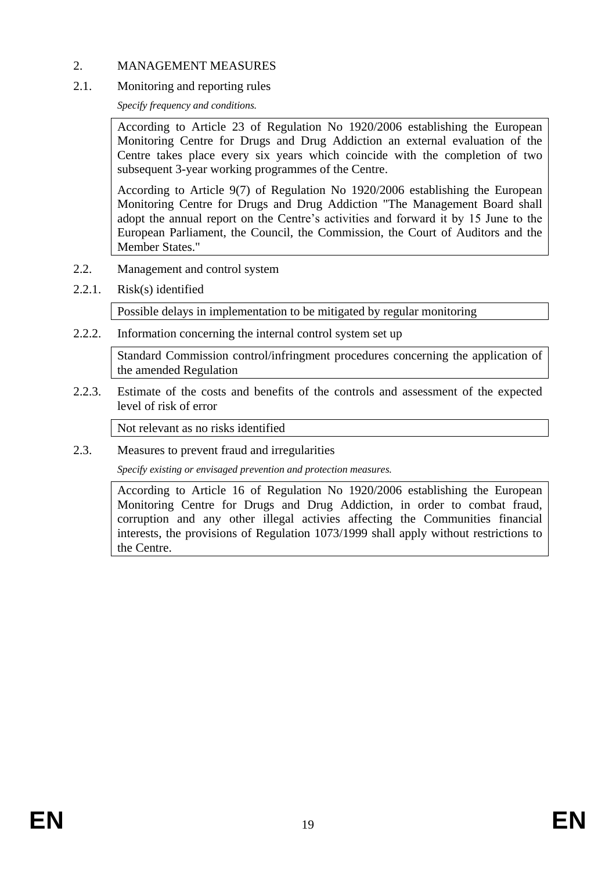### 2. MANAGEMENT MEASURES

#### 2.1. Monitoring and reporting rules

*Specify frequency and conditions.*

According to Article 23 of Regulation No 1920/2006 establishing the European Monitoring Centre for Drugs and Drug Addiction an external evaluation of the Centre takes place every six years which coincide with the completion of two subsequent 3-year working programmes of the Centre.

According to Article 9(7) of Regulation No 1920/2006 establishing the European Monitoring Centre for Drugs and Drug Addiction "The Management Board shall adopt the annual report on the Centre's activities and forward it by 15 June to the European Parliament, the Council, the Commission, the Court of Auditors and the Member States."

- 2.2. Management and control system
- 2.2.1. Risk(s) identified

Possible delays in implementation to be mitigated by regular monitoring

2.2.2. Information concerning the internal control system set up

Standard Commission control/infringment procedures concerning the application of the amended Regulation

2.2.3. Estimate of the costs and benefits of the controls and assessment of the expected level of risk of error

Not relevant as no risks identified

2.3. Measures to prevent fraud and irregularities

*Specify existing or envisaged prevention and protection measures.*

According to Article 16 of Regulation No 1920/2006 establishing the European Monitoring Centre for Drugs and Drug Addiction, in order to combat fraud, corruption and any other illegal activies affecting the Communities financial interests, the provisions of Regulation 1073/1999 shall apply without restrictions to the Centre.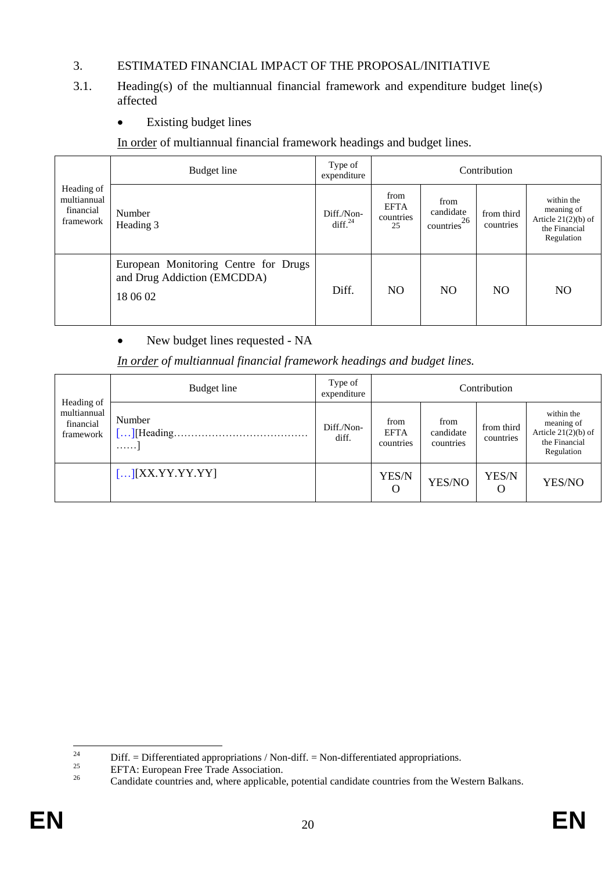## 3. ESTIMATED FINANCIAL IMPACT OF THE PROPOSAL/INITIATIVE

- 3.1. Heading(s) of the multiannual financial framework and expenditure budget line(s) affected
	- Existing budget lines

In order of multiannual financial framework headings and budget lines.

|                                                     | Budget line                                                                     | Type of<br>expenditure      |                                        |                                      | Contribution            |                                                                                  |
|-----------------------------------------------------|---------------------------------------------------------------------------------|-----------------------------|----------------------------------------|--------------------------------------|-------------------------|----------------------------------------------------------------------------------|
| Heading of<br>multiannual<br>financial<br>framework | Number<br>Heading 3                                                             | Diff./Non-<br>diff. $^{24}$ | from<br><b>EFTA</b><br>countries<br>25 | from<br>candidate<br>26<br>countries | from third<br>countries | within the<br>meaning of<br>Article $21(2)(b)$ of<br>the Financial<br>Regulation |
|                                                     | European Monitoring Centre for Drugs<br>and Drug Addiction (EMCDDA)<br>18 06 02 | Diff.                       | N <sub>O</sub>                         | NO.                                  | N <sub>O</sub>          | NO.                                                                              |

New budget lines requested - NA

*In order of multiannual financial framework headings and budget lines.*

|                                                     | Budget line                                     | Type of<br>expenditure |                                  |                                | Contribution            |                                                                                  |
|-----------------------------------------------------|-------------------------------------------------|------------------------|----------------------------------|--------------------------------|-------------------------|----------------------------------------------------------------------------------|
| Heading of<br>multiannual<br>financial<br>framework | Number<br>$\left[ \ldots \right]$ [Heading<br>. | Diff./Non-<br>diff.    | from<br><b>EFTA</b><br>countries | from<br>candidate<br>countries | from third<br>countries | within the<br>meaning of<br>Article $21(2)(b)$ of<br>the Financial<br>Regulation |
|                                                     | $\left[\ldots\right]\left[XX.YY.YY.YY\right]$   |                        | YES/N<br>O                       | YES/NO                         | YES/N<br>O              | YES/NO                                                                           |

 $24$ <sup>24</sup> Diff. = Differentiated appropriations / Non-diff. = Non-differentiated appropriations.<br>
EETA: European Free Trede Association

<sup>&</sup>lt;sup>25</sup> EFTA: European Free Trade Association.<br> **Condidate countries and where applicable** 

<sup>26</sup> Candidate countries and, where applicable, potential candidate countries from the Western Balkans.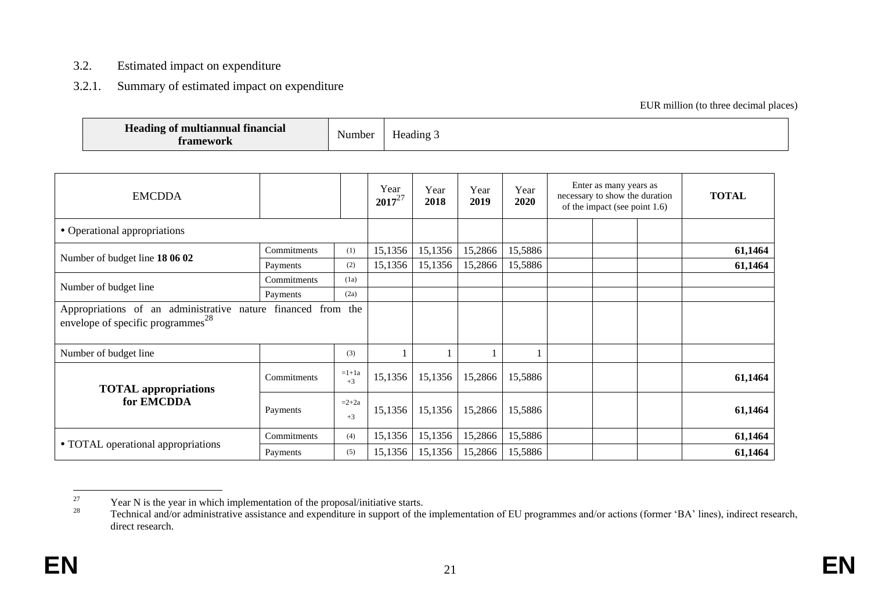#### 3.2. Estimated impact on expenditure

### 3.2.1. Summary of estimated impact on expenditure

#### EUR million (to three decimal places)

| $- -$<br>Heading of multiannual financial<br>framework | Number | $ -$<br>Heading.<br>. . |
|--------------------------------------------------------|--------|-------------------------|
|--------------------------------------------------------|--------|-------------------------|

| <b>EMCDDA</b>                                                                                                 |             |                 | Year<br>$2017^{27}$ | Year<br>2018 | Year<br>2019 | Year<br>2020 | Enter as many years as<br>necessary to show the duration<br>of the impact (see point 1.6) | <b>TOTAL</b> |
|---------------------------------------------------------------------------------------------------------------|-------------|-----------------|---------------------|--------------|--------------|--------------|-------------------------------------------------------------------------------------------|--------------|
| • Operational appropriations                                                                                  |             |                 |                     |              |              |              |                                                                                           |              |
| Number of budget line 18 06 02                                                                                | Commitments | (1)             | 15,1356             | 15,1356      | 15,2866      | 15,5886      |                                                                                           | 61,1464      |
|                                                                                                               | Payments    | (2)             | 15,1356             | 15,1356      | 15,2866      | 15,5886      |                                                                                           | 61,1464      |
| Number of budget line                                                                                         | Commitments | (1a)            |                     |              |              |              |                                                                                           |              |
|                                                                                                               | Payments    | (2a)            |                     |              |              |              |                                                                                           |              |
| Appropriations of an administrative nature financed from the<br>envelope of specific programmes <sup>28</sup> |             |                 |                     |              |              |              |                                                                                           |              |
| Number of budget line                                                                                         |             | (3)             |                     |              |              |              |                                                                                           |              |
| <b>TOTAL</b> appropriations                                                                                   | Commitments | $=1+1a$<br>$+3$ | 15,1356             | 15,1356      | 15,2866      | 15,5886      |                                                                                           | 61,1464      |
| for EMCDDA                                                                                                    | Payments    | $=2+2a$<br>$+3$ | 15,1356             | 15,1356      | 15,2866      | 15,5886      |                                                                                           | 61,1464      |
|                                                                                                               | Commitments | (4)             | 15,1356             | 15,1356      | 15,2866      | 15,5886      |                                                                                           | 61,1464      |
| • TOTAL operational appropriations                                                                            | Payments    | (5)             | 15,1356             | 15,1356      | 15,2866      | 15,5886      |                                                                                           | 61,1464      |

 $27\,$ <sup>27</sup> Year N is the year in which implementation of the proposal/initiative starts.<br><sup>28</sup> Technical and/or edministrative assistance and amongliture in support of the

Technical and/or administrative assistance and expenditure in support of the implementation of EU programmes and/or actions (former 'BA' lines), indirect research, direct research.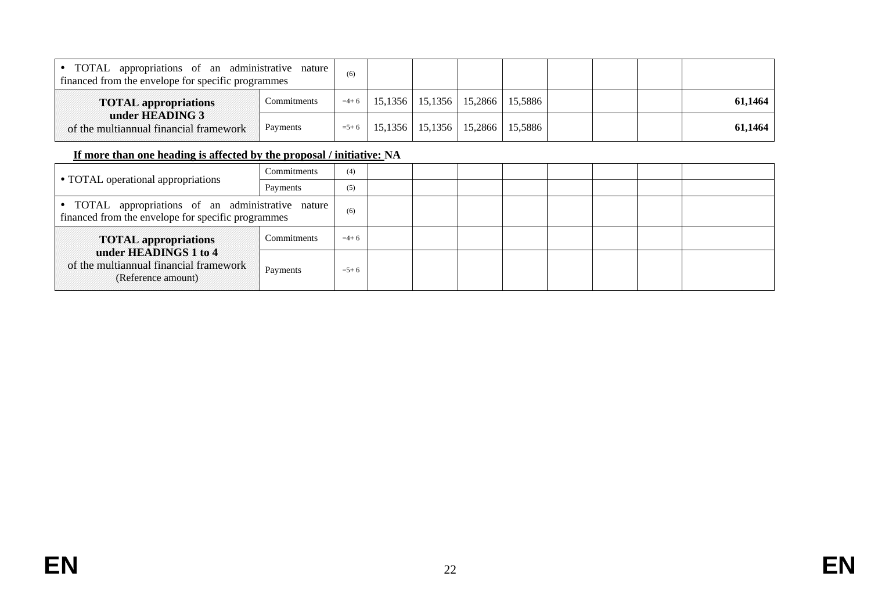| TOTAL appropriations of an administrative nature<br>financed from the envelope for specific programmes |             | (6)       |                                                |  |  |         |
|--------------------------------------------------------------------------------------------------------|-------------|-----------|------------------------------------------------|--|--|---------|
| <b>TOTAL appropriations</b>                                                                            | Commitments |           | $=4+6$   15,1356   15,1356   15,2866   15,5886 |  |  | 61,1464 |
| under HEADING 3<br>of the multiannual financial framework                                              | Payments    | $= 5 + 6$ | 15,1356   15,1356   15,2866   15,5886          |  |  | 61,1464 |

### **If more than one heading is affected by the proposal / initiative: NA**

|                                                                                                          | Commitments | (4)       |  |  |  |  |
|----------------------------------------------------------------------------------------------------------|-------------|-----------|--|--|--|--|
| • TOTAL operational appropriations                                                                       | Payments    | (5)       |  |  |  |  |
| • TOTAL appropriations of an administrative nature<br>financed from the envelope for specific programmes |             | (6)       |  |  |  |  |
| <b>TOTAL appropriations</b>                                                                              | Commitments | $=4+6$    |  |  |  |  |
| under HEADINGS 1 to 4<br>of the multiannual financial framework<br>(Reference amount)                    | Payments    | $= 5 + 6$ |  |  |  |  |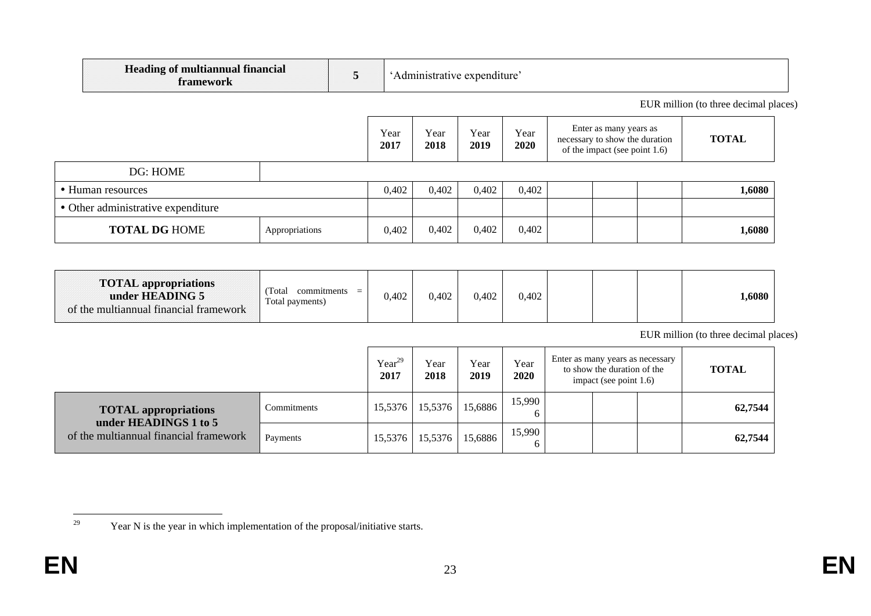| $-$<br>t multiannual financial<br><b>Leading</b> $\alpha$<br>tramework<br>⊥u allı |  | expenditure |
|-----------------------------------------------------------------------------------|--|-------------|
|-----------------------------------------------------------------------------------|--|-------------|

EUR million (to three decimal places)

|                                    |                | Year<br>2017 | Year<br>2018 | Year<br>2019 | Year<br>2020 | Enter as many years as<br>necessary to show the duration<br>of the impact (see point 1.6) | <b>TOTAL</b> |
|------------------------------------|----------------|--------------|--------------|--------------|--------------|-------------------------------------------------------------------------------------------|--------------|
| DG: HOME                           |                |              |              |              |              |                                                                                           |              |
| • Human resources                  |                | 0,402        | 0,402        | 0,402        | 0,402        |                                                                                           | 1,6080       |
| • Other administrative expenditure |                |              |              |              |              |                                                                                           |              |
| <b>TOTAL DG HOME</b>               | Appropriations | 0.402        | 0,402        | 0,402        | 0,402        |                                                                                           | 1,6080       |

| <b>TOTAL appropriations</b><br>under HEADING 5<br>of the multiannual financial framework | Total<br>commitments<br>$=$<br>Total payments) | 0.402 | 0,402 | 0,402 | 0,402 |  |  |  | 1,6080 |
|------------------------------------------------------------------------------------------|------------------------------------------------|-------|-------|-------|-------|--|--|--|--------|
|------------------------------------------------------------------------------------------|------------------------------------------------|-------|-------|-------|-------|--|--|--|--------|

EUR million (to three decimal places)

|                                                      |             | $Year^{29}$<br>2017 | Year<br>2018 | Year<br>2019 | Year<br>2020 | Enter as many years as necessary<br>to show the duration of the<br>impact (see point $1.6$ ) | <b>TOTAL</b> |
|------------------------------------------------------|-------------|---------------------|--------------|--------------|--------------|----------------------------------------------------------------------------------------------|--------------|
| <b>TOTAL</b> appropriations<br>under HEADINGS 1 to 5 | Commitments | 15,5376             | 15,5376      | 15,6886      | 15,990       |                                                                                              | 62,7544      |
| of the multiannual financial framework               | Payments    | 15,5376             | 15,5376      | 15,6886      | 15,990       |                                                                                              | 62,7544      |

<sup>29</sup> Year N is the year in which implementation of the proposal/initiative starts.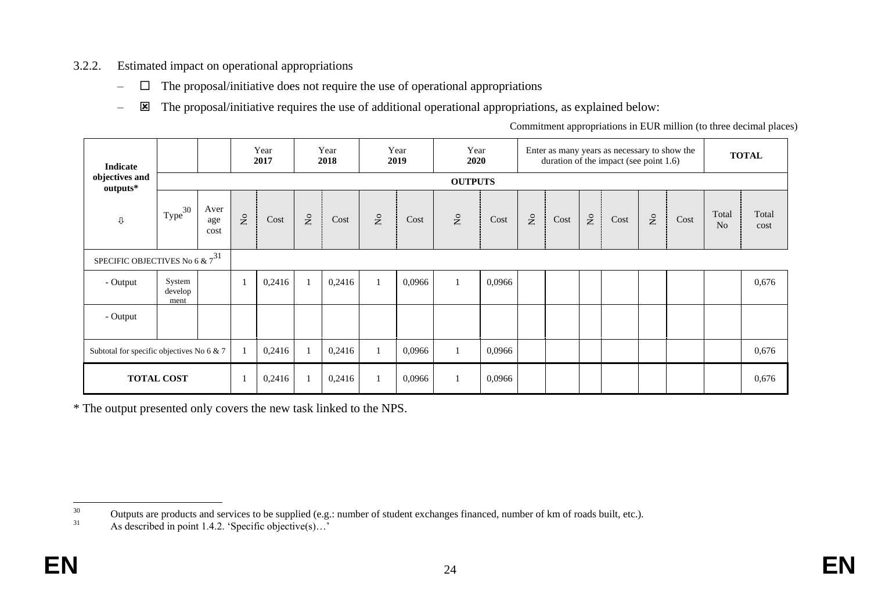## 3.2.2. Estimated impact on operational appropriations

- $\Box$  The proposal/initiative does not require the use of operational appropriations
- $\blacksquare$  The proposal/initiative requires the use of additional operational appropriations, as explained below:

Commitment appropriations in EUR million (to three decimal places)

| <b>Indicate</b>                           |                           |                     |                | Year<br>2017 |                           | Year<br>2018 |                                    | Year<br>2019 | Year<br>2020                       |        |                           |      |                           | Enter as many years as necessary to show the<br>duration of the impact (see point 1.6) |                               |      |                         | <b>TOTAL</b>  |
|-------------------------------------------|---------------------------|---------------------|----------------|--------------|---------------------------|--------------|------------------------------------|--------------|------------------------------------|--------|---------------------------|------|---------------------------|----------------------------------------------------------------------------------------|-------------------------------|------|-------------------------|---------------|
| objectives and<br>outputs*                |                           |                     |                |              |                           |              |                                    |              | <b>OUTPUTS</b>                     |        |                           |      |                           |                                                                                        |                               |      |                         |               |
| $\mathbb Q$                               | Type <sup>30</sup>        | Aver<br>age<br>cost | $\overline{R}$ | Cost         | $\mathsf{S}^{\mathsf{o}}$ | Cost         | $\rm \stackrel{\circ}{\mathbf{Z}}$ | Cost         | $\rm \stackrel{\circ}{\mathbf{Z}}$ | Cost   | $\mathsf{S}^{\mathsf{o}}$ | Cost | $\mathsf{S}^{\mathsf{O}}$ | Cost                                                                                   | $\rm \stackrel{\circ}{\rm X}$ | Cost | Total<br>N <sub>o</sub> | Total<br>cost |
| SPECIFIC OBJECTIVES No 6 & $7^{31}$       |                           |                     |                |              |                           |              |                                    |              |                                    |        |                           |      |                           |                                                                                        |                               |      |                         |               |
| - Output                                  | System<br>develop<br>ment |                     | $\mathbf{1}$   | 0,2416       |                           | 0,2416       |                                    | 0,0966       | $\mathbf{1}$                       | 0,0966 |                           |      |                           |                                                                                        |                               |      |                         | 0,676         |
| - Output                                  |                           |                     |                |              |                           |              |                                    |              |                                    |        |                           |      |                           |                                                                                        |                               |      |                         |               |
| Subtotal for specific objectives No 6 & 7 |                           |                     | $\mathbf{1}$   | 0,2416       |                           | 0,2416       |                                    | 0,0966       | $\mathbf{1}$                       | 0,0966 |                           |      |                           |                                                                                        |                               |      |                         | 0,676         |
|                                           | <b>TOTAL COST</b>         |                     | $\mathbf{1}$   | 0,2416       |                           | 0,2416       |                                    | 0,0966       | 1                                  | 0,0966 |                           |      |                           |                                                                                        |                               |      |                         | 0,676         |

\* The output presented only covers the new task linked to the NPS.

 $30\,$ <sup>30</sup> Outputs are products and services to be supplied (e.g.: number of student exchanges financed, number of km of roads built, etc.).

As described in point 1.4.2. 'Specific objective(s)...'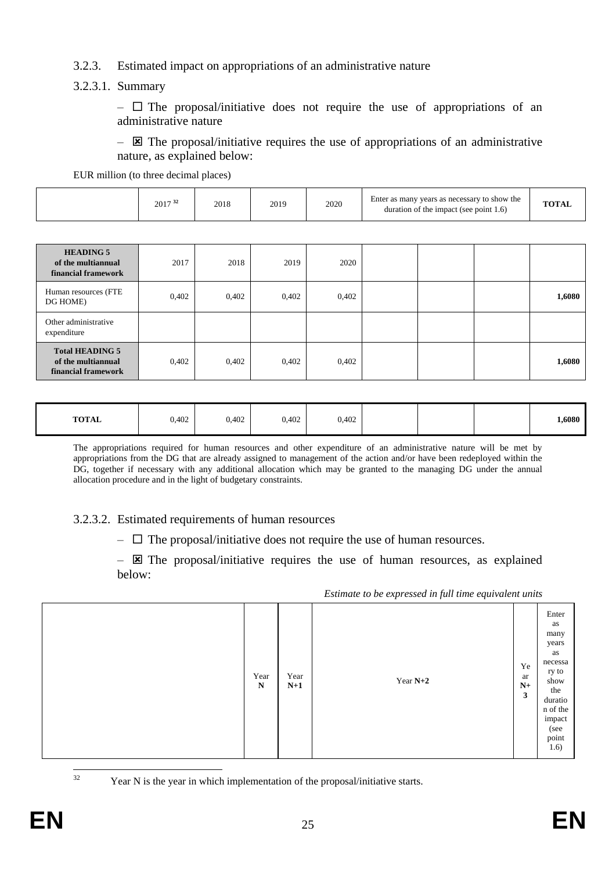### 3.2.3. Estimated impact on appropriations of an administrative nature

3.2.3.1. Summary

 $\Box$  The proposal/initiative does not require the use of appropriations of an administrative nature

 $\boxtimes$  The proposal/initiative requires the use of appropriations of an administrative nature, as explained below:

EUR million (to three decimal places)

| Enter as many years as necessary to show the<br>2020<br>$T\Omega T^*$<br>2019<br>$2017^{32}$<br>2016<br>2018<br>duration of the impact (see point $1.6$ ) |
|-----------------------------------------------------------------------------------------------------------------------------------------------------------|
|-----------------------------------------------------------------------------------------------------------------------------------------------------------|

| <b>HEADING 5</b><br>of the multiannual<br>financial framework       | 2017  | 2018  | 2019  | 2020  |  |        |
|---------------------------------------------------------------------|-------|-------|-------|-------|--|--------|
| Human resources (FTE<br>DG HOME)                                    | 0,402 | 0,402 | 0,402 | 0,402 |  | 1,6080 |
| Other administrative<br>expenditure                                 |       |       |       |       |  |        |
| <b>Total HEADING 5</b><br>of the multiannual<br>financial framework | 0,402 | 0,402 | 0,402 | 0,402 |  | 1,6080 |

| <b>TOTAL</b><br>0,402<br>0,402 | 0,402<br>0,402 | l,6080 |
|--------------------------------|----------------|--------|
|--------------------------------|----------------|--------|

The appropriations required for human resources and other expenditure of an administrative nature will be met by appropriations from the DG that are already assigned to management of the action and/or have been redeployed within the DG, together if necessary with any additional allocation which may be granted to the managing DG under the annual allocation procedure and in the light of budgetary constraints.

3.2.3.2. Estimated requirements of human resources

 $\Box$  The proposal/initiative does not require the use of human resources.

 $\boxtimes$  The proposal/initiative requires the use of human resources, as explained below:

*Estimate to be expressed in full time equivalent units*

 $32$ 

Year N is the year in which implementation of the proposal/initiative starts.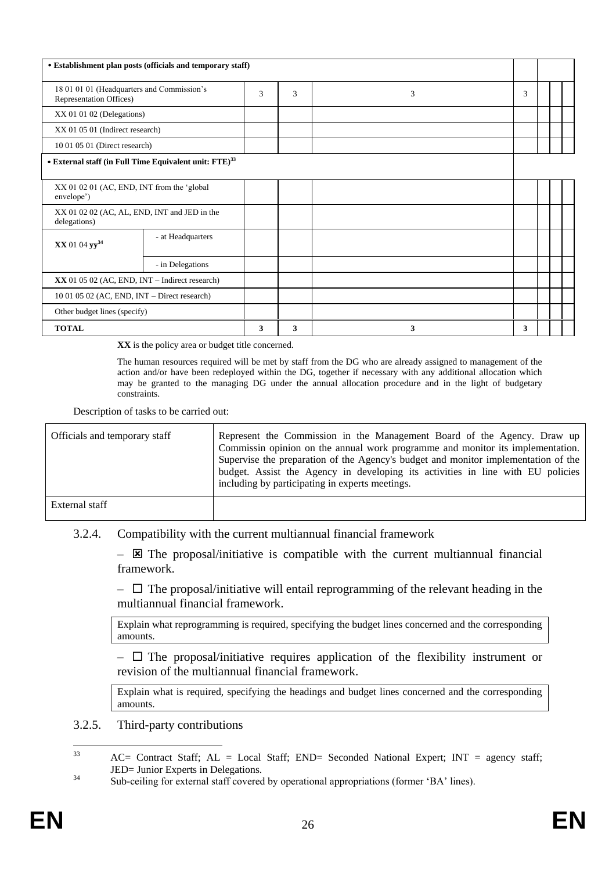| • Establishment plan posts (officials and temporary staff)            |                  |   |   |   |   |  |  |
|-----------------------------------------------------------------------|------------------|---|---|---|---|--|--|
| 18 01 01 01 (Headquarters and Commission's<br>Representation Offices) |                  | 3 | 3 | 3 | 3 |  |  |
| XX 01 01 02 (Delegations)                                             |                  |   |   |   |   |  |  |
| XX 01 05 01 (Indirect research)                                       |                  |   |   |   |   |  |  |
| 10 01 05 01 (Direct research)                                         |                  |   |   |   |   |  |  |
| • External staff (in Full Time Equivalent unit: FTE) <sup>33</sup>    |                  |   |   |   |   |  |  |
| XX 01 02 01 (AC, END, INT from the 'global<br>envelope')              |                  |   |   |   |   |  |  |
| XX 01 02 02 (AC, AL, END, INT and JED in the<br>delegations)          |                  |   |   |   |   |  |  |
| - at Headquarters<br>XX 01 04 yy <sup>34</sup>                        |                  |   |   |   |   |  |  |
|                                                                       | - in Delegations |   |   |   |   |  |  |
| $XX$ 01 05 02 (AC, END, INT – Indirect research)                      |                  |   |   |   |   |  |  |
| $10010502$ (AC, END, INT – Direct research)                           |                  |   |   |   |   |  |  |
| Other budget lines (specify)                                          |                  |   |   |   |   |  |  |
| <b>TOTAL</b>                                                          |                  | 3 | 3 | 3 | 3 |  |  |

**XX** is the policy area or budget title concerned.

The human resources required will be met by staff from the DG who are already assigned to management of the action and/or have been redeployed within the DG, together if necessary with any additional allocation which may be granted to the managing DG under the annual allocation procedure and in the light of budgetary constraints.

Description of tasks to be carried out:

| Officials and temporary staff | Represent the Commission in the Management Board of the Agency. Draw up<br>Commissin opinion on the annual work programme and monitor its implementation.<br>Supervise the preparation of the Agency's budget and monitor implementation of the<br>budget. Assist the Agency in developing its activities in line with EU policies<br>including by participating in experts meetings. |
|-------------------------------|---------------------------------------------------------------------------------------------------------------------------------------------------------------------------------------------------------------------------------------------------------------------------------------------------------------------------------------------------------------------------------------|
| External staff                |                                                                                                                                                                                                                                                                                                                                                                                       |

#### 3.2.4. Compatibility with the current multiannual financial framework

 $\boxtimes$  The proposal/initiative is compatible with the current multiannual financial framework.

 $\Box$  The proposal/initiative will entail reprogramming of the relevant heading in the multiannual financial framework.

Explain what reprogramming is required, specifying the budget lines concerned and the corresponding amounts.

 $\Box$  The proposal/initiative requires application of the flexibility instrument or revision of the multiannual financial framework.

Explain what is required, specifying the headings and budget lines concerned and the corresponding amounts.

#### 3.2.5. Third-party contributions

 $33$  $AC=$  Contract Staff;  $AL = Local$  Staff;  $END=$  Seconded National Expert; INT = agency staff; JED= Junior Experts in Delegations.

<sup>&</sup>lt;sup>34</sup> Sub-ceiling for external staff covered by operational appropriations (former 'BA' lines).